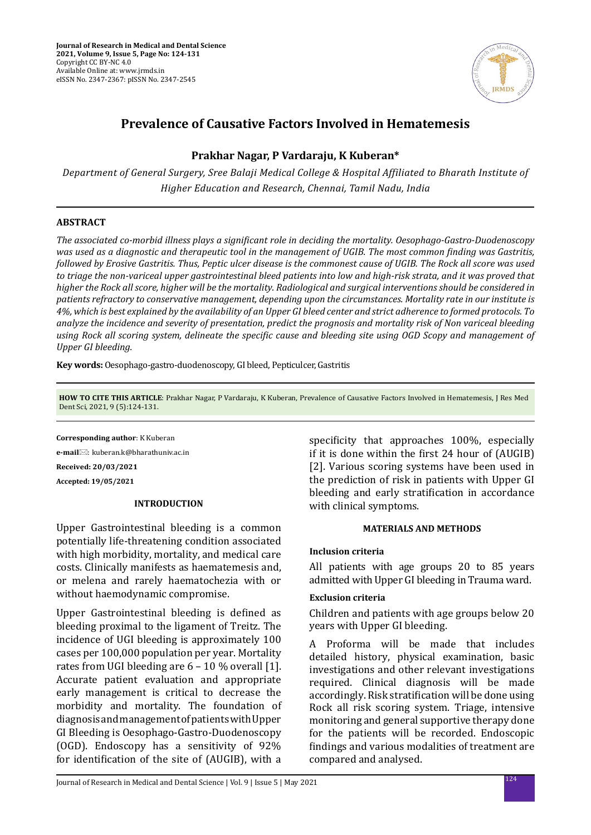

# **Prevalence of Causative Factors Involved in Hematemesis**

# **Prakhar Nagar, P Vardaraju, K Kuberan\***

*Department of General Surgery, Sree Balaji Medical College & Hospital Affiliated to Bharath Institute of Higher Education and Research, Chennai, Tamil Nadu, India*

# **ABSTRACT**

*The associated co-morbid illness plays a significant role in deciding the mortality. Oesophago-Gastro-Duodenoscopy was used as a diagnostic and therapeutic tool in the management of UGIB. The most common finding was Gastritis, followed by Erosive Gastritis. Thus, Peptic ulcer disease is the commonest cause of UGIB. The Rock all score was used to triage the non-variceal upper gastrointestinal bleed patients into low and high-risk strata, and it was proved that higher the Rock all score, higher will be the mortality. Radiological and surgical interventions should be considered in patients refractory to conservative management, depending upon the circumstances. Mortality rate in our institute is 4%, which is best explained by the availability of an Upper GI bleed center and strict adherence to formed protocols. To analyze the incidence and severity of presentation, predict the prognosis and mortality risk of Non variceal bleeding using Rock all scoring system, delineate the specific cause and bleeding site using OGD Scopy and management of Upper GI bleeding.*

**Key words:** Oesophago-gastro-duodenoscopy, GI bleed, Pepticulcer, Gastritis

**HOW TO CITE THIS ARTICLE**: Prakhar Nagar, P Vardaraju, K Kuberan, Prevalence of Causative Factors Involved in Hematemesis, J Res Med Dent Sci, 2021, 9 (5):124-131.

**Corresponding author**: K Kuberan

**e-mail**: kuberan.k@bharathuniv.ac.in

**Received: 20/03/2021 Accepted: 19/05/2021**

### **INTRODUCTION**

Upper Gastrointestinal bleeding is a common potentially life-threatening condition associated with high morbidity, mortality, and medical care costs. Clinically manifests as haematemesis and, or melena and rarely haematochezia with or without haemodynamic compromise.

Upper Gastrointestinal bleeding is defined as bleeding proximal to the ligament of Treitz. The incidence of UGI bleeding is approximately 100 cases per 100,000 population per year. Mortality rates from UGI bleeding are 6 – 10 % overall [1]. Accurate patient evaluation and appropriate early management is critical to decrease the morbidity and mortality. The foundation of diagnosis and management of patients with Upper GI Bleeding is Oesophago-Gastro-Duodenoscopy (OGD). Endoscopy has a sensitivity of 92% for identification of the site of (AUGIB), with a specificity that approaches 100%, especially if it is done within the first 24 hour of (AUGIB) [2]. Various scoring systems have been used in the prediction of risk in patients with Upper GI bleeding and early stratification in accordance with clinical symptoms.

### **MATERIALS AND METHODS**

# **Inclusion criteria**

All patients with age groups 20 to 85 years admitted with Upper GI bleeding in Trauma ward.

# **Exclusion criteria**

Children and patients with age groups below 20 years with Upper GI bleeding.

A Proforma will be made that includes detailed history, physical examination, basic investigations and other relevant investigations required. Clinical diagnosis will be made accordingly. Risk stratification will be done using Rock all risk scoring system. Triage, intensive monitoring and general supportive therapy done for the patients will be recorded. Endoscopic findings and various modalities of treatment are compared and analysed.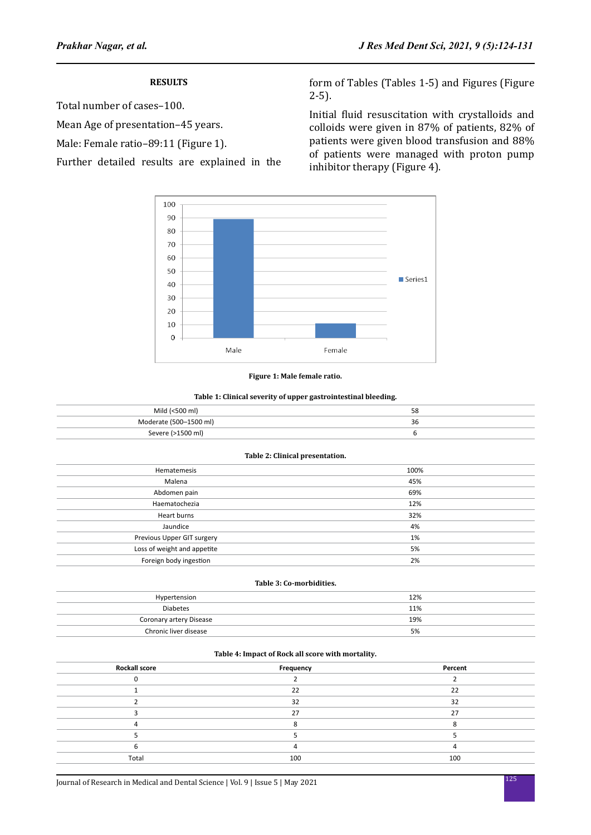# **RESULTS**

Total number of cases–100.

Mean Age of presentation–45 years.

Male: Female ratio–89:11 (Figure 1).

Further detailed results are explained in the

form of Tables (Tables 1-5) and Figures (Figure 2-5).

Initial fluid resuscitation with crystalloids and colloids were given in 87% of patients, 82% of patients were given blood transfusion and 88% of patients were managed with proton pump inhibitor therapy (Figure 4).



**Figure 1: Male female ratio.**

#### **Table 1: Clinical severity of upper gastrointestinal bleeding.**

| Mild (<500 ml)         | 58 |
|------------------------|----|
| Moderate (500-1500 ml) | 36 |
| Severe (>1500 ml)      |    |

#### **Table 2: Clinical presentation.**

| Hematemesis                 | 100% |
|-----------------------------|------|
| Malena                      | 45%  |
| Abdomen pain                | 69%  |
| Haematochezia               | 12%  |
| Heart burns                 | 32%  |
| Jaundice                    | 4%   |
| Previous Upper GIT surgery  | 1%   |
| Loss of weight and appetite | 5%   |
| Foreign body ingestion      | 2%   |

#### **Table 3: Co-morbidities.**

| Hypertension            | 12% |
|-------------------------|-----|
| <b>Diabetes</b>         | 11% |
| Coronary artery Disease | 19% |
| Chronic liver disease   | 5%  |

#### **Table 4: Impact of Rock all score with mortality.**

| <b>Rockall score</b> | Frequency | Percent |
|----------------------|-----------|---------|
|                      |           |         |
|                      | 22        | 22      |
|                      | 32        | 32      |
|                      | 27        | 27      |
|                      |           |         |
|                      |           |         |
|                      |           |         |
| Total                | 100       | 100     |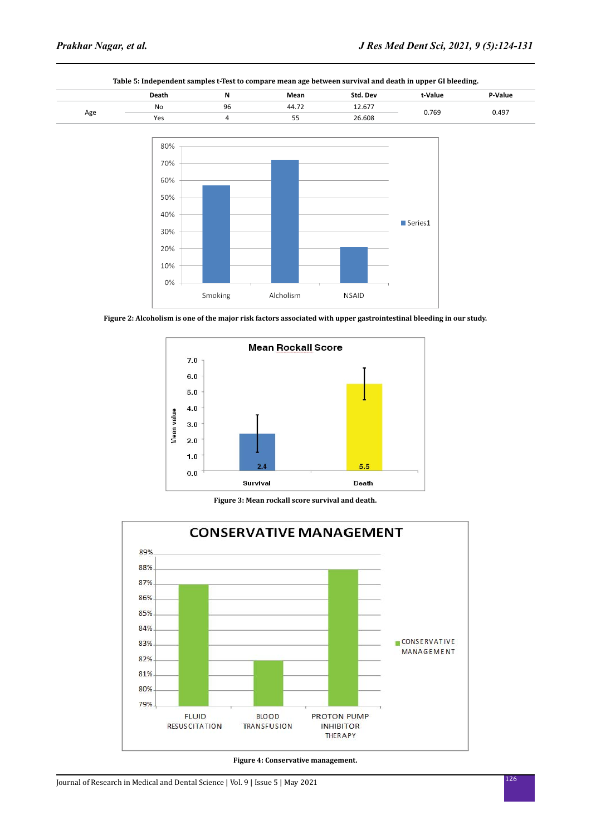10%  $0\%$ 

Smoking



**Table 5: Independent samples t-Test to compare mean age between survival and death in upper GI bleeding.**



**NSAID** 

Alcholism



**Figure 3: Mean rockall score survival and death.**



**Figure 4: Conservative management.**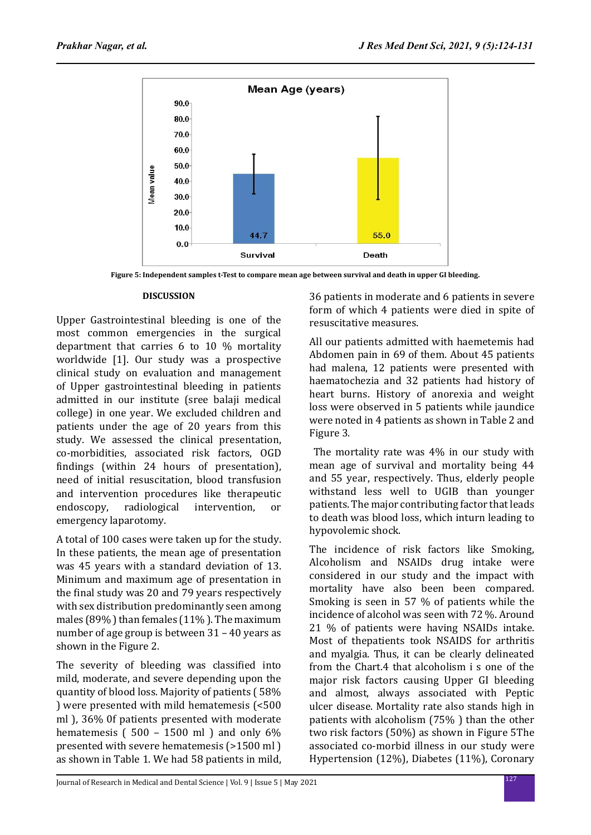

**Figure 5: Independent samples t-Test to compare mean age between survival and death in upper GI bleeding.**

# **DISCUSSION**

Upper Gastrointestinal bleeding is one of the most common emergencies in the surgical department that carries 6 to 10 % mortality worldwide [1]. Our study was a prospective clinical study on evaluation and management of Upper gastrointestinal bleeding in patients admitted in our institute (sree balaji medical college) in one year. We excluded children and patients under the age of 20 years from this study. We assessed the clinical presentation, co-morbidities, associated risk factors, OGD findings (within 24 hours of presentation), need of initial resuscitation, blood transfusion and intervention procedures like therapeutic<br>endoscopy, radiological intervention, or intervention, or emergency laparotomy.

A total of 100 cases were taken up for the study. In these patients, the mean age of presentation was 45 years with a standard deviation of 13. Minimum and maximum age of presentation in the final study was 20 and 79 years respectively with sex distribution predominantly seen among males (89% ) than females (11% ). The maximum number of age group is between 31 – 40 years as shown in the Figure 2.

The severity of bleeding was classified into mild, moderate, and severe depending upon the quantity of blood loss. Majority of patients ( 58% ) were presented with mild hematemesis (<500 ml ), 36% 0f patients presented with moderate hematemesis ( $500 - 1500$  ml) and only  $6\%$ presented with severe hematemesis (>1500 ml ) as shown in Table 1. We had 58 patients in mild, 36 patients in moderate and 6 patients in severe form of which 4 patients were died in spite of resuscitative measures.

All our patients admitted with haemetemis had Abdomen pain in 69 of them. About 45 patients had malena, 12 patients were presented with haematochezia and 32 patients had history of heart burns. History of anorexia and weight loss were observed in 5 patients while jaundice were noted in 4 patients as shown in Table 2 and Figure 3.

 The mortality rate was 4% in our study with mean age of survival and mortality being 44 and 55 year, respectively. Thus, elderly people withstand less well to UGIB than younger patients. The major contributing factor that leads to death was blood loss, which inturn leading to hypovolemic shock.

The incidence of risk factors like Smoking, Alcoholism and NSAIDs drug intake were considered in our study and the impact with mortality have also been been compared. Smoking is seen in 57 % of patients while the incidence of alcohol was seen with 72 %. Around 21 % of patients were having NSAIDs intake. Most of thepatients took NSAIDS for arthritis and myalgia. Thus, it can be clearly delineated from the Chart.4 that alcoholism i s one of the major risk factors causing Upper GI bleeding and almost, always associated with Peptic ulcer disease. Mortality rate also stands high in patients with alcoholism (75% ) than the other two risk factors (50%) as shown in Figure 5The associated co-morbid illness in our study were Hypertension (12%), Diabetes (11%), Coronary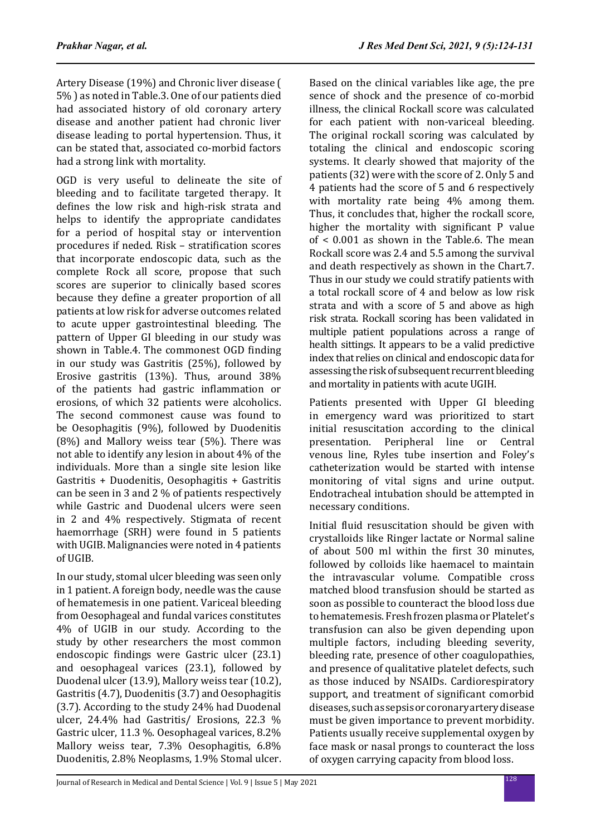Artery Disease (19%) and Chronic liver disease ( 5% ) as noted in Table.3. One of our patients died had associated history of old coronary artery disease and another patient had chronic liver disease leading to portal hypertension. Thus, it can be stated that, associated co-morbid factors had a strong link with mortality.

OGD is very useful to delineate the site of bleeding and to facilitate targeted therapy. It defines the low risk and high-risk strata and helps to identify the appropriate candidates for a period of hospital stay or intervention procedures if neded. Risk – stratification scores that incorporate endoscopic data, such as the complete Rock all score, propose that such scores are superior to clinically based scores because they define a greater proportion of all patients at low risk for adverse outcomes related to acute upper gastrointestinal bleeding. The pattern of Upper GI bleeding in our study was shown in Table.4. The commonest OGD finding in our study was Gastritis (25%), followed by Erosive gastritis (13%). Thus, around 38% of the patients had gastric inflammation or erosions, of which 32 patients were alcoholics. The second commonest cause was found to be Oesophagitis (9%), followed by Duodenitis (8%) and Mallory weiss tear (5%). There was not able to identify any lesion in about 4% of the individuals. More than a single site lesion like Gastritis + Duodenitis, Oesophagitis + Gastritis can be seen in 3 and 2 % of patients respectively while Gastric and Duodenal ulcers were seen in 2 and 4% respectively. Stigmata of recent haemorrhage (SRH) were found in 5 patients with UGIB. Malignancies were noted in 4 patients of UGIB.

In our study, stomal ulcer bleeding was seen only in 1 patient. A foreign body, needle was the cause of hematemesis in one patient. Variceal bleeding from Oesophageal and fundal varices constitutes 4% of UGIB in our study. According to the study by other researchers the most common endoscopic findings were Gastric ulcer (23.1) and oesophageal varices (23.1), followed by Duodenal ulcer (13.9), Mallory weiss tear (10.2), Gastritis (4.7), Duodenitis (3.7) and Oesophagitis (3.7). According to the study 24% had Duodenal ulcer, 24.4% had Gastritis/ Erosions, 22.3 % Gastric ulcer, 11.3 %. Oesophageal varices, 8.2% Mallory weiss tear, 7.3% Oesophagitis, 6.8% Duodenitis, 2.8% Neoplasms, 1.9% Stomal ulcer. Based on the clinical variables like age, the pre sence of shock and the presence of co-morbid illness, the clinical Rockall score was calculated for each patient with non-variceal bleeding. The original rockall scoring was calculated by totaling the clinical and endoscopic scoring systems. It clearly showed that majority of the patients (32) were with the score of 2. Only 5 and 4 patients had the score of 5 and 6 respectively with mortality rate being 4% among them. Thus, it concludes that, higher the rockall score, higher the mortality with significant P value of < 0.001 as shown in the Table.6. The mean Rockall score was 2.4 and 5.5 among the survival and death respectively as shown in the Chart.7. Thus in our study we could stratify patients with a total rockall score of 4 and below as low risk strata and with a score of 5 and above as high risk strata. Rockall scoring has been validated in multiple patient populations across a range of health sittings. It appears to be a valid predictive index that relies on clinical and endoscopic data for assessing the risk of subsequent recurrent bleeding and mortality in patients with acute UGIH.

Patients presented with Upper GI bleeding in emergency ward was prioritized to start initial resuscitation according to the clinical presentation. Peripheral line or Central venous line, Ryles tube insertion and Foley's catheterization would be started with intense monitoring of vital signs and urine output. Endotracheal intubation should be attempted in necessary conditions.

Initial fluid resuscitation should be given with crystalloids like Ringer lactate or Normal saline of about 500 ml within the first 30 minutes, followed by colloids like haemacel to maintain the intravascular volume. Compatible cross matched blood transfusion should be started as soon as possible to counteract the blood loss due to hematemesis. Fresh frozen plasma or Platelet's transfusion can also be given depending upon multiple factors, including bleeding severity, bleeding rate, presence of other coagulopathies, and presence of qualitative platelet defects, such as those induced by NSAIDs. Cardiorespiratory support, and treatment of significant comorbid diseases, such as sepsis or coronary artery disease must be given importance to prevent morbidity. Patients usually receive supplemental oxygen by face mask or nasal prongs to counteract the loss of oxygen carrying capacity from blood loss.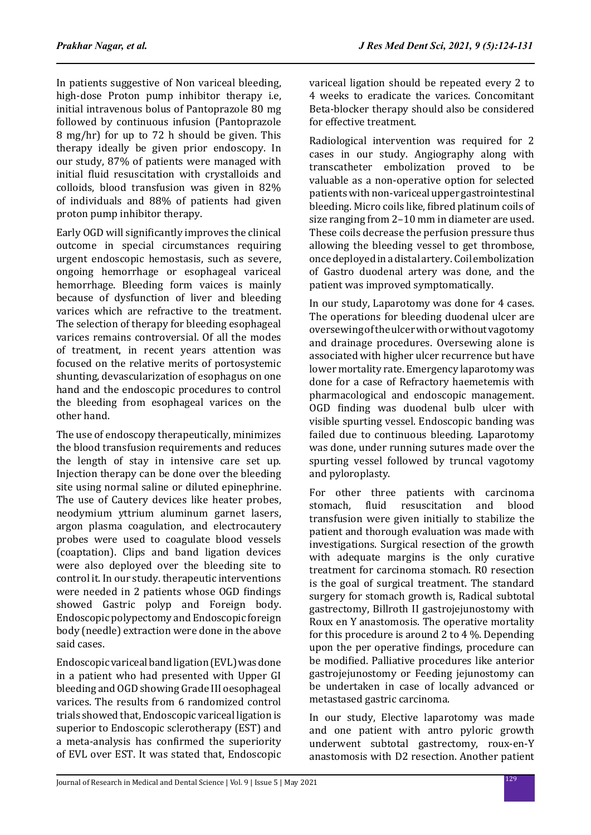In patients suggestive of Non variceal bleeding, high-dose Proton pump inhibitor therapy i.e, initial intravenous bolus of Pantoprazole 80 mg followed by continuous infusion (Pantoprazole 8 mg/hr) for up to 72 h should be given. This therapy ideally be given prior endoscopy. In our study, 87% of patients were managed with initial fluid resuscitation with crystalloids and colloids, blood transfusion was given in 82% of individuals and 88% of patients had given proton pump inhibitor therapy.

Early OGD will significantly improves the clinical outcome in special circumstances requiring urgent endoscopic hemostasis, such as severe, ongoing hemorrhage or esophageal variceal hemorrhage. Bleeding form vaices is mainly because of dysfunction of liver and bleeding varices which are refractive to the treatment. The selection of therapy for bleeding esophageal varices remains controversial. Of all the modes of treatment, in recent years attention was focused on the relative merits of portosystemic shunting, devascularization of esophagus on one hand and the endoscopic procedures to control the bleeding from esophageal varices on the other hand.

The use of endoscopy therapeutically, minimizes the blood transfusion requirements and reduces the length of stay in intensive care set up. Injection therapy can be done over the bleeding site using normal saline or diluted epinephrine. The use of Cautery devices like heater probes, neodymium yttrium aluminum garnet lasers, argon plasma coagulation, and electrocautery probes were used to coagulate blood vessels (coaptation). Clips and band ligation devices were also deployed over the bleeding site to control it. In our study. therapeutic interventions were needed in 2 patients whose OGD findings showed Gastric polyp and Foreign body. Endoscopic polypectomy and Endoscopic foreign body (needle) extraction were done in the above said cases.

Endoscopic variceal band ligation (EVL) was done in a patient who had presented with Upper GI bleeding and OGD showing Grade III oesophageal varices. The results from 6 randomized control trials showed that, Endoscopic variceal ligation is superior to Endoscopic sclerotherapy (EST) and a meta-analysis has confirmed the superiority of EVL over EST. It was stated that, Endoscopic variceal ligation should be repeated every 2 to 4 weeks to eradicate the varices. Concomitant Beta-blocker therapy should also be considered for effective treatment.

Radiological intervention was required for 2 cases in our study. Angiography along with transcatheter embolization proved to be valuable as a non-operative option for selected patients with non-variceal upper gastrointestinal bleeding. Micro coils like, fibred platinum coils of size ranging from 2–10 mm in diameter are used. These coils decrease the perfusion pressure thus allowing the bleeding vessel to get thrombose, once deployed in a distal artery. Coil embolization of Gastro duodenal artery was done, and the patient was improved symptomatically.

In our study, Laparotomy was done for 4 cases. The operations for bleeding duodenal ulcer are oversewing of the ulcer with or without vagotomy and drainage procedures. Oversewing alone is associated with higher ulcer recurrence but have lower mortality rate. Emergency laparotomy was done for a case of Refractory haemetemis with pharmacological and endoscopic management. OGD finding was duodenal bulb ulcer with visible spurting vessel. Endoscopic banding was failed due to continuous bleeding. Laparotomy was done, under running sutures made over the spurting vessel followed by truncal vagotomy and pyloroplasty.

For other three patients with carcinoma<br>stomach. fluid resuscitation and blood resuscitation and transfusion were given initially to stabilize the patient and thorough evaluation was made with investigations. Surgical resection of the growth with adequate margins is the only curative treatment for carcinoma stomach. R0 resection is the goal of surgical treatment. The standard surgery for stomach growth is, Radical subtotal gastrectomy, Billroth II gastrojejunostomy with Roux en Y anastomosis. The operative mortality for this procedure is around 2 to 4 %. Depending upon the per operative findings, procedure can be modified. Palliative procedures like anterior gastrojejunostomy or Feeding jejunostomy can be undertaken in case of locally advanced or metastased gastric carcinoma.

In our study, Elective laparotomy was made and one patient with antro pyloric growth underwent subtotal gastrectomy, roux-en-Y anastomosis with D2 resection. Another patient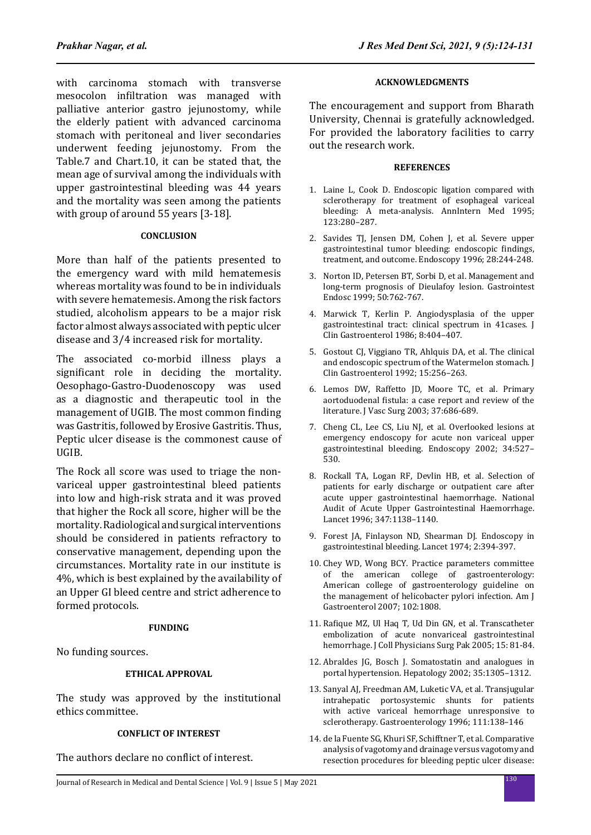with carcinoma stomach with transverse mesocolon infiltration was managed with palliative anterior gastro jejunostomy, while the elderly patient with advanced carcinoma stomach with peritoneal and liver secondaries underwent feeding jejunostomy. From the Table.7 and Chart.10, it can be stated that, the mean age of survival among the individuals with upper gastrointestinal bleeding was 44 years and the mortality was seen among the patients with group of around 55 years [3-18].

# **CONCLUSION**

More than half of the patients presented to the emergency ward with mild hematemesis whereas mortality was found to be in individuals with severe hematemesis. Among the risk factors studied, alcoholism appears to be a major risk factor almost always associated with peptic ulcer disease and 3/4 increased risk for mortality.

The associated co-morbid illness plays a significant role in deciding the mortality. Oesophago-Gastro-Duodenoscopy was used as a diagnostic and therapeutic tool in the management of UGIB. The most common finding was Gastritis, followed by Erosive Gastritis. Thus, Peptic ulcer disease is the commonest cause of UGIB.

The Rock all score was used to triage the nonvariceal upper gastrointestinal bleed patients into low and high-risk strata and it was proved that higher the Rock all score, higher will be the mortality. Radiological and surgical interventions should be considered in patients refractory to conservative management, depending upon the circumstances. Mortality rate in our institute is 4%, which is best explained by the availability of an Upper GI bleed centre and strict adherence to formed protocols.

### **FUNDING**

No funding sources.

## **ETHICAL APPROVAL**

The study was approved by the institutional ethics committee.

# **CONFLICT OF INTEREST**

The authors declare no conflict of interest.

### **ACKNOWLEDGMENTS**

The encouragement and support from Bharath University, Chennai is gratefully acknowledged. For provided the laboratory facilities to carry out the research work.

### **REFERENCES**

- 1. Laine L, Cook D. Endoscopic ligation compared with sclerotherapy for treatment of esophageal variceal bleeding: A meta-analysis. AnnIntern Med 1995; 123:280–287.
- 2. Savides TJ, Jensen DM, Cohen J, et al. Severe upper gastrointestinal tumor bleeding: endoscopic findings, treatment, and outcome. Endoscopy 1996; 28:244-248.
- 3. Norton ID, Petersen BT, Sorbi D, et al. Management and long-term prognosis of Dieulafoy lesion. Gastrointest Endosc 1999; 50:762-767.
- 4. Marwick T, Kerlin P. Angiodysplasia of the upper gastrointestinal tract: clinical spectrum in 41cases. J Clin Gastroenterol 1986; 8:404–407.
- 5. Gostout CJ, Viggiano TR, Ahlquis DA, et al. The clinical and endoscopic spectrum of the Watermelon stomach. J Clin Gastroenterol 1992; 15:256–263.
- 6. Lemos DW, Raffetto JD, Moore TC, et al. Primary aortoduodenal fistula: a case report and review of the literature. J Vasc Surg 2003; 37:686-689.
- 7. Cheng CL, Lee CS, Liu NJ, et al. Overlooked lesions at emergency endoscopy for acute non variceal upper gastrointestinal bleeding. Endoscopy 2002; 34:527– 530.
- 8. Rockall TA, Logan RF, Devlin HB, et al. Selection of patients for early discharge or outpatient care after acute upper gastrointestinal haemorrhage. National Audit of Acute Upper Gastrointestinal Haemorrhage. Lancet 1996; 347:1138–1140.
- 9. Forest JA, Finlayson ND, Shearman DJ. Endoscopy in gastrointestinal bleeding. Lancet 1974; 2:394-397.
- 10. Chey WD, Wong BCY. Practice parameters committee of the american college of gastroenterology: American college of gastroenterology guideline on the management of helicobacter pylori infection. Am J Gastroenterol 2007; 102:1808.
- 11. Rafique MZ, Ul Haq T, Ud Din GN, et al. Transcatheter embolization of acute nonvariceal gastrointestinal hemorrhage. J Coll Physicians Surg Pak 2005; 15: 81-84.
- 12. Abraldes JG, Bosch J. Somatostatin and analogues in portal hypertension. Hepatology 2002; 35:1305–1312.
- 13. Sanyal AJ, Freedman AM, Luketic VA, et al. Transjugular intrahepatic portosystemic shunts for patients with active variceal hemorrhage unresponsive to sclerotherapy. Gastroenterology 1996; 111:138–146
- 14. de la Fuente SG, Khuri SF, Schifftner T, et al. Comparative analysis of vagotomy and drainage versus vagotomy and resection procedures for bleeding peptic ulcer disease: